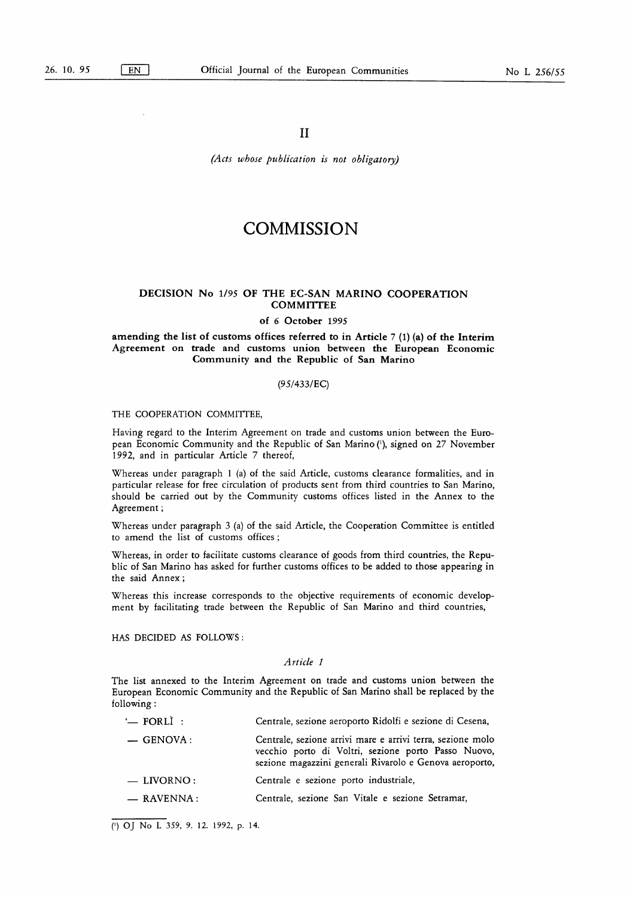(Acts whose publication is not obligatory)

# **COMMISSION**

## DECISION No 1/95 OF THE EC-SAN MARINO COOPERATION **COMMITTEE**

#### of 6 October 1995

## amending the list of customs offices referred to in Article 7 (1) (a) of the Interim Agreement on trade and customs union between the European Economic Community and the Republic of San Marino

## (95/433/EC)

#### THE COOPERATION COMMITTEE,

Having regard to the Interim Agreement on trade and customs union between the European Economic Community and the Republic of San Marino ('), signed on 27 November 1992, and in particular Article 7 thereof,

Whereas under paragraph <sup>1</sup> (a) of the said Article, customs clearance formalities, and in particular release for free circulation of products sent from third countries to San Marino, should be carried out by the Community customs offices listed in the Annex to the Agreement ;

Whereas under paragraph 3 (a) of the said Article, the Cooperation Committee is entitled to amend the list of customs offices ;

Whereas, in order to facilitate customs clearance of goods from third countries, the Republic of San Marino has asked for further customs offices to be added to those appearing in the said Annex ;

Whereas this increase corresponds to the objective requirements of economic development by facilitating trade between the Republic of San Marino and third countries,

HAS DECIDED AS FOLLOWS :

#### Article <sup>1</sup>

The list annexed to the Interim Agreement on trade and customs union between the European Economic Community and the Republic of San Marino shall be replaced by the following :

| $\leftharpoonup$ FORLI: | Centrale, sezione aeroporto Ridolfi e sezione di Cesena,                                                                                                                     |
|-------------------------|------------------------------------------------------------------------------------------------------------------------------------------------------------------------------|
| $-$ GENOVA:             | Centrale, sezione arrivi mare e arrivi terra, sezione molo<br>vecchio porto di Voltri, sezione porto Passo Nuovo,<br>sezione magazzini generali Rivarolo e Genova aeroporto, |
| $-$ LIVORNO:            | Centrale e sezione porto industriale,                                                                                                                                        |
| $-$ RAVENNA :           | Centrale, sezione San Vitale e sezione Setramar,                                                                                                                             |

(') OJ No L 359, 9. 12. 1992, p. 14.